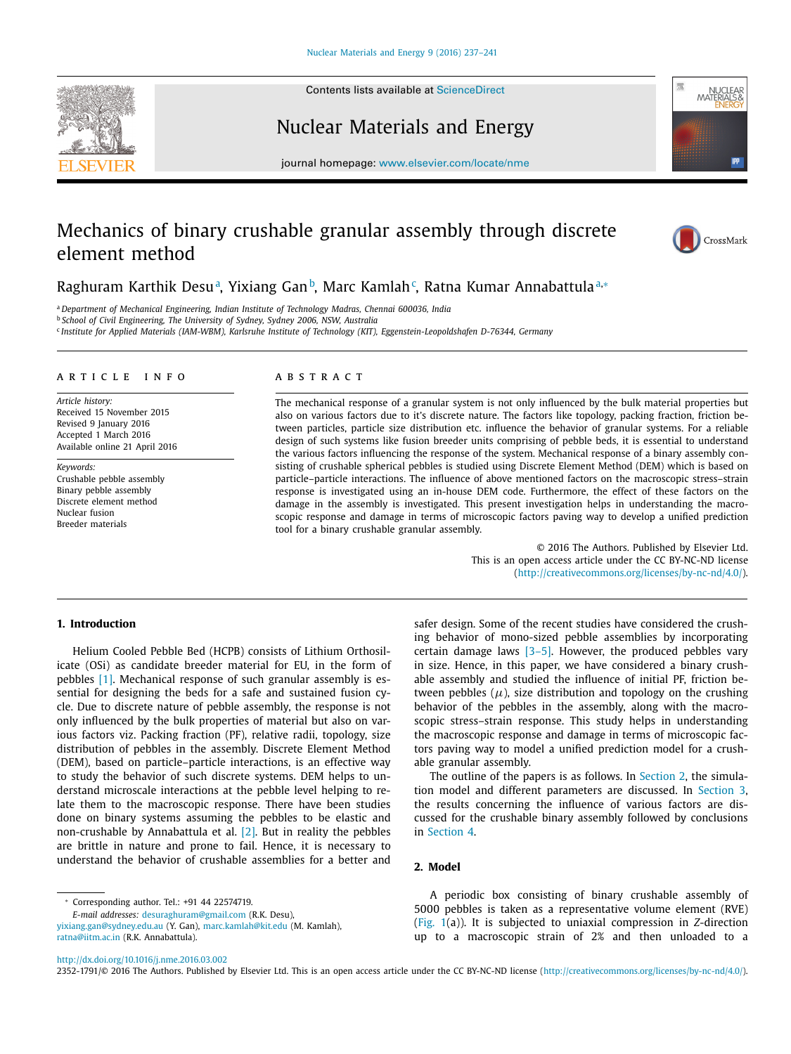Contents lists available at [ScienceDirect](http://www.ScienceDirect.com)



# Nuclear Materials and Energy

journal homepage: [www.elsevier.com/locate/nme](http://www.elsevier.com/locate/nme)

## Mechanics of binary crushable granular assembly through discrete element method



## Raghuram Karthik Desuª, Yixiang Gan<sup>b</sup>, Marc Kamlah¢, Ratna Kumar Annabattulaª<sub>\*</sub>

<sup>a</sup> *Department of Mechanical Engineering, Indian Institute of Technology Madras, Chennai 600036, India*

<sup>b</sup> *School of Civil Engineering, The University of Sydney, Sydney 2006, NSW, Australia*

<sup>c</sup> *Institute for Applied Materials (IAM-WBM), Karlsruhe Institute of Technology (KIT), Eggenstein-Leopoldshafen D-76344, Germany*

#### a r t i c l e i n f o

*Article history:* Received 15 November 2015 Revised 9 January 2016 Accepted 1 March 2016 Available online 21 April 2016

*Keywords:* Crushable pebble assembly Binary pebble assembly Discrete element method Nuclear fusion Breeder materials

#### A B S T R A C T

The mechanical response of a granular system is not only influenced by the bulk material properties but also on various factors due to it's discrete nature. The factors like topology, packing fraction, friction between particles, particle size distribution etc. influence the behavior of granular systems. For a reliable design of such systems like fusion breeder units comprising of pebble beds, it is essential to understand the various factors influencing the response of the system. Mechanical response of a binary assembly consisting of crushable spherical pebbles is studied using Discrete Element Method (DEM) which is based on particle–particle interactions. The influence of above mentioned factors on the macroscopic stress–strain response is investigated using an in-house DEM code. Furthermore, the effect of these factors on the damage in the assembly is investigated. This present investigation helps in understanding the macroscopic response and damage in terms of microscopic factors paving way to develop a unified prediction tool for a binary crushable granular assembly.

> © 2016 The Authors. Published by Elsevier Ltd. This is an open access article under the CC BY-NC-ND license [\(http://creativecommons.org/licenses/by-nc-nd/4.0/\)](http://creativecommons.org/licenses/by-nc-nd/4.0/).

### **1. Introduction**

Helium Cooled Pebble Bed (HCPB) consists of Lithium Orthosilicate (OSi) as candidate breeder material for EU, in the form of pebbles [\[1\].](#page-4-0) Mechanical response of such granular assembly is essential for designing the beds for a safe and sustained fusion cycle. Due to discrete nature of pebble assembly, the response is not only influenced by the bulk properties of material but also on various factors viz. Packing fraction (PF), relative radii, topology, size distribution of pebbles in the assembly. Discrete Element Method (DEM), based on particle–particle interactions, is an effective way to study the behavior of such discrete systems. DEM helps to understand microscale interactions at the pebble level helping to relate them to the macroscopic response. There have been studies done on binary systems assuming the pebbles to be elastic and non-crushable by Annabattula et al. [\[2\].](#page-4-0) But in reality the pebbles are brittle in nature and prone to fail. Hence, it is necessary to understand the behavior of crushable assemblies for a better and

safer design. Some of the recent studies have considered the crushing behavior of mono-sized pebble assemblies by incorporating certain damage laws  $[3-5]$ . However, the produced pebbles vary in size. Hence, in this paper, we have considered a binary crushable assembly and studied the influence of initial PF, friction between pebbles  $(\mu)$ , size distribution and topology on the crushing behavior of the pebbles in the assembly, along with the macroscopic stress–strain response. This study helps in understanding the macroscopic response and damage in terms of microscopic factors paving way to model a unified prediction model for a crushable granular assembly.

The outline of the papers is as follows. In Section 2, the simulation model and different parameters are discussed. In [Section](#page-1-0) 3, the results concerning the influence of various factors are discussed for the crushable binary assembly followed by conclusions in [Section](#page-3-0) 4.

## **2. Model**

<sup>∗</sup> Corresponding author. Tel.: +91 44 22574719.

*E-mail addresses:* [desuraghuram@gmail.com](mailto:desuraghuram@gmail.com) (R.K. Desu),

[yixiang.gan@sydney.edu.au](mailto:yixiang.gan@sydney.edu.au) (Y. Gan), [marc.kamlah@kit.edu](mailto:marc.kamlah@kit.edu) (M. Kamlah), ratna@iitm.ac.in (R.K. Annabattula).

A periodic box consisting of binary crushable assembly of 5000 pebbles is taken as a representative volume element (RVE) [\(Fig.](#page-1-0) 1(a)). It is subjected to uniaxial compression in *Z*-direction up to a macroscopic strain of 2% and then unloaded to a

<http://dx.doi.org/10.1016/j.nme.2016.03.002>

2352-1791/© 2016 The Authors. Published by Elsevier Ltd. This is an open access article under the CC BY-NC-ND license [\(http://creativecommons.org/licenses/by-nc-nd/4.0/\)](http://creativecommons.org/licenses/by-nc-nd/4.0/).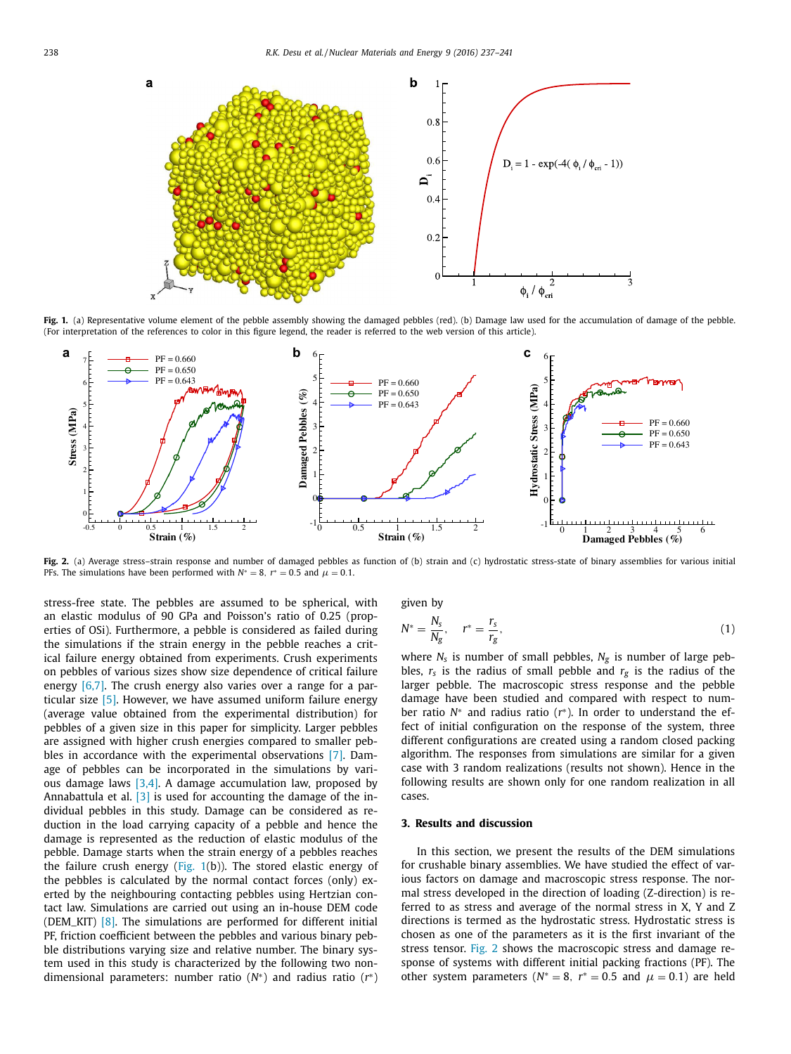<span id="page-1-0"></span>

**Fig. 1.** (a) Representative volume element of the pebble assembly showing the damaged pebbles (red). (b) Damage law used for the accumulation of damage of the pebble. (For interpretation of the references to color in this figure legend, the reader is referred to the web version of this article).



Fig. 2. (a) Average stress-strain response and number of damaged pebbles as function of (b) strain and (c) hydrostatic stress-state of binary assemblies for various initial PFs. The simulations have been performed with  $N^* = 8$ ,  $r^* = 0.5$  and  $\mu = 0.1$ .

stress-free state. The pebbles are assumed to be spherical, with an elastic modulus of 90 GPa and Poisson's ratio of 0.25 (properties of OSi). Furthermore, a pebble is considered as failed during the simulations if the strain energy in the pebble reaches a critical failure energy obtained from experiments. Crush experiments on pebbles of various sizes show size dependence of critical failure energy  $[6,7]$ . The crush energy also varies over a range for a particular size [\[5\].](#page-4-0) However, we have assumed uniform failure energy (average value obtained from the experimental distribution) for pebbles of a given size in this paper for simplicity. Larger pebbles are assigned with higher crush energies compared to smaller peb-bles in accordance with the experimental observations [\[7\].](#page-4-0) Damage of pebbles can be incorporated in the simulations by various damage laws [\[3,4\].](#page-4-0) A damage accumulation law, proposed by Annabattula et al. [\[3\]](#page-4-0) is used for accounting the damage of the individual pebbles in this study. Damage can be considered as reduction in the load carrying capacity of a pebble and hence the damage is represented as the reduction of elastic modulus of the pebble. Damage starts when the strain energy of a pebbles reaches the failure crush energy (Fig. 1(b)). The stored elastic energy of the pebbles is calculated by the normal contact forces (only) exerted by the neighbouring contacting pebbles using Hertzian contact law. Simulations are carried out using an in-house DEM code (DEM\_KIT) [\[8\].](#page-4-0) The simulations are performed for different initial PF, friction coefficient between the pebbles and various binary pebble distributions varying size and relative number. The binary system used in this study is characterized by the following two nondimensional parameters: number ratio (*N*∗) and radius ratio (*r*∗) given by

$$
N^* = \frac{N_s}{N_g}, \quad r^* = \frac{r_s}{r_g}, \tag{1}
$$

where *Ns* is number of small pebbles, *Ng* is number of large pebbles,  $r_s$  is the radius of small pebble and  $r_g$  is the radius of the larger pebble. The macroscopic stress response and the pebble damage have been studied and compared with respect to number ratio *N*∗ and radius ratio (*r*∗). In order to understand the effect of initial configuration on the response of the system, three different configurations are created using a random closed packing algorithm. The responses from simulations are similar for a given case with 3 random realizations (results not shown). Hence in the following results are shown only for one random realization in all cases.

### **3. Results and discussion**

In this section, we present the results of the DEM simulations for crushable binary assemblies. We have studied the effect of various factors on damage and macroscopic stress response. The normal stress developed in the direction of loading (Z-direction) is referred to as stress and average of the normal stress in X, Y and Z directions is termed as the hydrostatic stress. Hydrostatic stress is chosen as one of the parameters as it is the first invariant of the stress tensor. Fig. 2 shows the macroscopic stress and damage response of systems with different initial packing fractions (PF). The other system parameters ( $N^* = 8$ ,  $r^* = 0.5$  and  $\mu = 0.1$ ) are held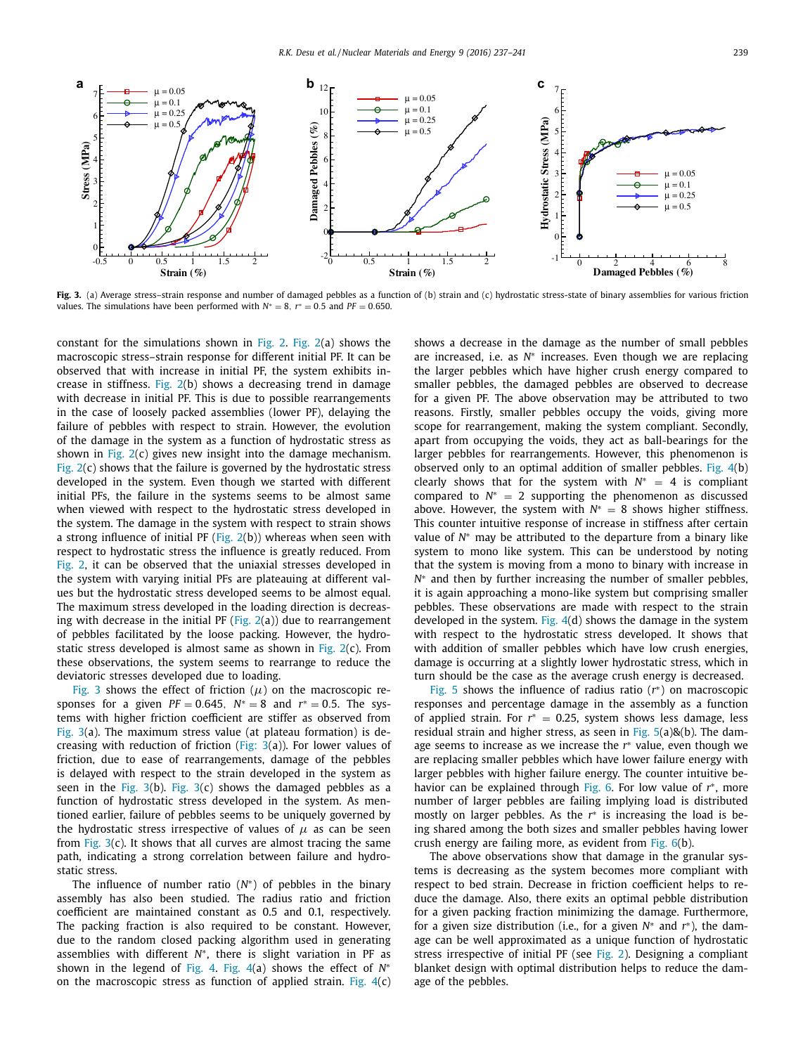<span id="page-2-0"></span>

**Fig. 3.** (a) Average stress–strain response and number of damaged pebbles as a function of (b) strain and (c) hydrostatic stress-state of binary assemblies for various friction values. The simulations have been performed with  $N^* = 8$ ,  $r^* = 0.5$  and  $PF = 0.650$ .

constant for the simulations shown in [Fig.](#page-1-0) 2. [Fig.](#page-1-0) 2(a) shows the macroscopic stress–strain response for different initial PF. It can be observed that with increase in initial PF, the system exhibits increase in stiffness. [Fig.](#page-1-0) 2(b) shows a decreasing trend in damage with decrease in initial PF. This is due to possible rearrangements in the case of loosely packed assemblies (lower PF), delaying the failure of pebbles with respect to strain. However, the evolution of the damage in the system as a function of hydrostatic stress as shown in [Fig.](#page-1-0) 2(c) gives new insight into the damage mechanism. [Fig.](#page-1-0)  $2(c)$  shows that the failure is governed by the hydrostatic stress developed in the system. Even though we started with different initial PFs, the failure in the systems seems to be almost same when viewed with respect to the hydrostatic stress developed in the system. The damage in the system with respect to strain shows a strong influence of initial PF [\(Fig.](#page-1-0)  $2(b)$ ) whereas when seen with respect to hydrostatic stress the influence is greatly reduced. From [Fig.](#page-1-0) 2, it can be observed that the uniaxial stresses developed in the system with varying initial PFs are plateauing at different values but the hydrostatic stress developed seems to be almost equal. The maximum stress developed in the loading direction is decreas-ing with decrease in the initial PF [\(Fig.](#page-1-0)  $2(a)$ ) due to rearrangement of pebbles facilitated by the loose packing. However, the hydro-static stress developed is almost same as shown in [Fig.](#page-1-0)  $2(c)$ . From these observations, the system seems to rearrange to reduce the deviatoric stresses developed due to loading.

Fig. 3 shows the effect of friction  $(\mu)$  on the macroscopic responses for a given  $PF = 0.645$ ,  $N^* = 8$  and  $r^* = 0.5$ . The systems with higher friction coefficient are stiffer as observed from Fig. 3(a). The maximum stress value (at plateau formation) is decreasing with reduction of friction (Fig: 3(a)). For lower values of friction, due to ease of rearrangements, damage of the pebbles is delayed with respect to the strain developed in the system as seen in the Fig.  $3(b)$ . Fig.  $3(c)$  shows the damaged pebbles as a function of hydrostatic stress developed in the system. As mentioned earlier, failure of pebbles seems to be uniquely governed by the hydrostatic stress irrespective of values of  $\mu$  as can be seen from Fig.  $3(c)$ . It shows that all curves are almost tracing the same path, indicating a strong correlation between failure and hydrostatic stress.

The influence of number ratio (*N*∗) of pebbles in the binary assembly has also been studied. The radius ratio and friction coefficient are maintained constant as 0.5 and 0.1, respectively. The packing fraction is also required to be constant. However, due to the random closed packing algorithm used in generating assemblies with different *N*∗, there is slight variation in PF as shown in the legend of [Fig.](#page-3-0) 4. [Fig.](#page-3-0) 4(a) shows the effect of *N*∗ on the macroscopic stress as function of applied strain. [Fig.](#page-3-0)  $4(c)$  shows a decrease in the damage as the number of small pebbles are increased, i.e. as *N*∗ increases. Even though we are replacing the larger pebbles which have higher crush energy compared to smaller pebbles, the damaged pebbles are observed to decrease for a given PF. The above observation may be attributed to two reasons. Firstly, smaller pebbles occupy the voids, giving more scope for rearrangement, making the system compliant. Secondly, apart from occupying the voids, they act as ball-bearings for the larger pebbles for rearrangements. However, this phenomenon is observed only to an optimal addition of smaller pebbles. [Fig.](#page-3-0) 4(b) clearly shows that for the system with  $N^* = 4$  is compliant compared to *N*<sup>∗</sup> = 2 supporting the phenomenon as discussed above. However, the system with  $N^* = 8$  shows higher stiffness. This counter intuitive response of increase in stiffness after certain value of *N*∗ may be attributed to the departure from a binary like system to mono like system. This can be understood by noting that the system is moving from a mono to binary with increase in *N*<sup>∗</sup> and then by further increasing the number of smaller pebbles, it is again approaching a mono-like system but comprising smaller pebbles. These observations are made with respect to the strain developed in the system. [Fig.](#page-3-0) 4(d) shows the damage in the system with respect to the hydrostatic stress developed. It shows that with addition of smaller pebbles which have low crush energies, damage is occurring at a slightly lower hydrostatic stress, which in turn should be the case as the average crush energy is decreased.

[Fig.](#page-3-0) 5 shows the influence of radius ratio (*r*∗) on macroscopic responses and percentage damage in the assembly as a function of applied strain. For *r*<sup>∗</sup> = 0.25, system shows less damage, less residual strain and higher stress, as seen in [Fig.](#page-3-0)  $5(a)\&(b)$ . The damage seems to increase as we increase the *r*∗ value, even though we are replacing smaller pebbles which have lower failure energy with larger pebbles with higher failure energy. The counter intuitive behavior can be explained through [Fig.](#page-4-0) 6. For low value of *r*∗, more number of larger pebbles are failing implying load is distributed mostly on larger pebbles. As the *r*∗ is increasing the load is being shared among the both sizes and smaller pebbles having lower crush energy are failing more, as evident from [Fig.](#page-4-0) 6(b).

The above observations show that damage in the granular systems is decreasing as the system becomes more compliant with respect to bed strain. Decrease in friction coefficient helps to reduce the damage. Also, there exits an optimal pebble distribution for a given packing fraction minimizing the damage. Furthermore, for a given size distribution (i.e., for a given *N*∗ and *r*∗), the damage can be well approximated as a unique function of hydrostatic stress irrespective of initial PF (see [Fig.](#page-1-0) 2). Designing a compliant blanket design with optimal distribution helps to reduce the damage of the pebbles.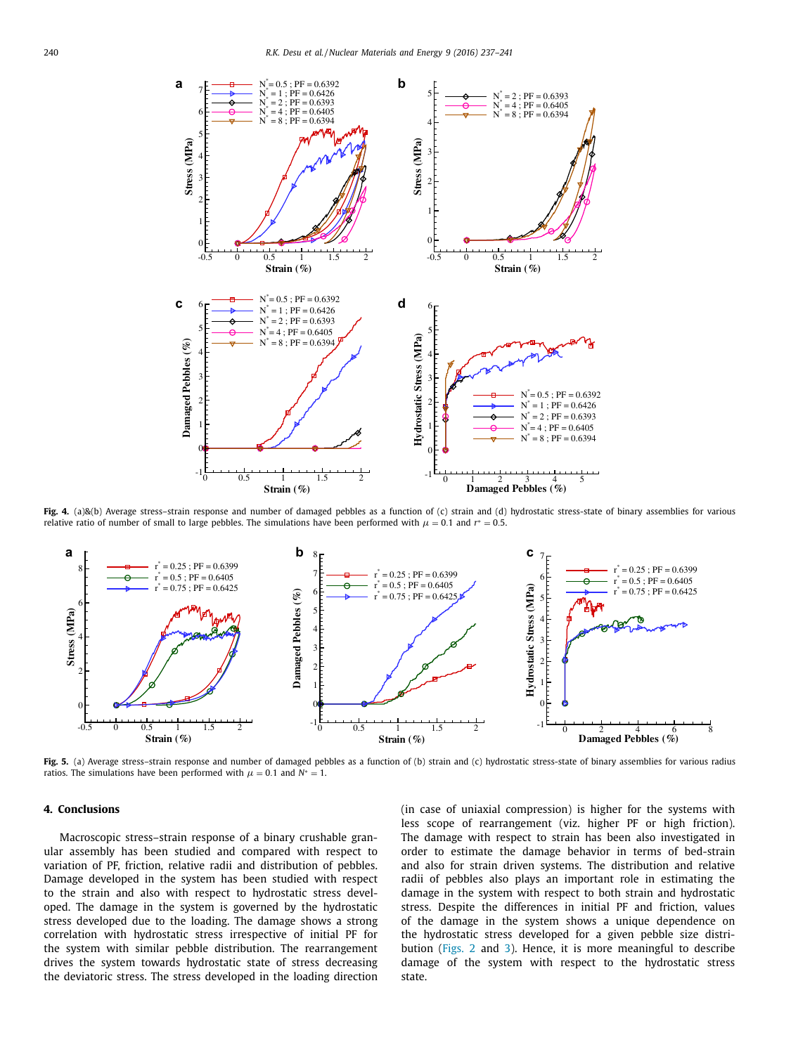<span id="page-3-0"></span>

Fig. 4. (a)&(b) Average stress-strain response and number of damaged pebbles as a function of (c) strain and (d) hydrostatic stress-state of binary assemblies for various relative ratio of number of small to large pebbles. The simulations have been performed with  $\mu = 0.1$  and  $r<sup>*</sup> = 0.5$ .



Fig. 5. (a) Average stress-strain response and number of damaged pebbles as a function of (b) strain and (c) hydrostatic stress-state of binary assemblies for various radius ratios. The simulations have been performed with  $\mu = 0.1$  and  $N^* = 1$ .

#### **4. Conclusions**

Macroscopic stress–strain response of a binary crushable granular assembly has been studied and compared with respect to variation of PF, friction, relative radii and distribution of pebbles. Damage developed in the system has been studied with respect to the strain and also with respect to hydrostatic stress developed. The damage in the system is governed by the hydrostatic stress developed due to the loading. The damage shows a strong correlation with hydrostatic stress irrespective of initial PF for the system with similar pebble distribution. The rearrangement drives the system towards hydrostatic state of stress decreasing the deviatoric stress. The stress developed in the loading direction (in case of uniaxial compression) is higher for the systems with less scope of rearrangement (viz. higher PF or high friction). The damage with respect to strain has been also investigated in order to estimate the damage behavior in terms of bed-strain and also for strain driven systems. The distribution and relative radii of pebbles also plays an important role in estimating the damage in the system with respect to both strain and hydrostatic stress. Despite the differences in initial PF and friction, values of the damage in the system shows a unique dependence on the hydrostatic stress developed for a given pebble size distribution [\(Figs.](#page-1-0) 2 and [3\)](#page-2-0). Hence, it is more meaningful to describe damage of the system with respect to the hydrostatic stress state.